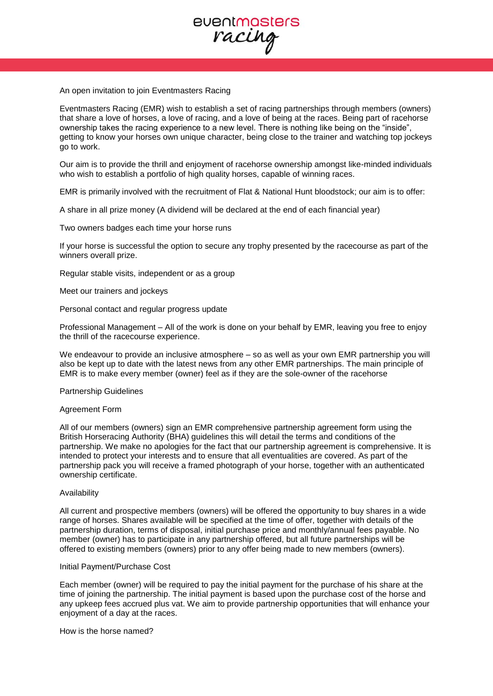

An open invitation to join Eventmasters Racing

Eventmasters Racing (EMR) wish to establish a set of racing partnerships through members (owners) that share a love of horses, a love of racing, and a love of being at the races. Being part of racehorse ownership takes the racing experience to a new level. There is nothing like being on the "inside", getting to know your horses own unique character, being close to the trainer and watching top jockeys go to work.

Our aim is to provide the thrill and enjoyment of racehorse ownership amongst like-minded individuals who wish to establish a portfolio of high quality horses, capable of winning races.

EMR is primarily involved with the recruitment of Flat & National Hunt bloodstock; our aim is to offer:

A share in all prize money (A dividend will be declared at the end of each financial year)

Two owners badges each time your horse runs

If your horse is successful the option to secure any trophy presented by the racecourse as part of the winners overall prize.

Regular stable visits, independent or as a group

Meet our trainers and jockeys

Personal contact and regular progress update

Professional Management – All of the work is done on your behalf by EMR, leaving you free to enjoy the thrill of the racecourse experience.

We endeavour to provide an inclusive atmosphere – so as well as your own EMR partnership you will also be kept up to date with the latest news from any other EMR partnerships. The main principle of EMR is to make every member (owner) feel as if they are the sole-owner of the racehorse

Partnership Guidelines

Agreement Form

All of our members (owners) sign an EMR comprehensive partnership agreement form using the British Horseracing Authority (BHA) guidelines this will detail the terms and conditions of the partnership. We make no apologies for the fact that our partnership agreement is comprehensive. It is intended to protect your interests and to ensure that all eventualities are covered. As part of the partnership pack you will receive a framed photograph of your horse, together with an authenticated ownership certificate.

#### Availability

All current and prospective members (owners) will be offered the opportunity to buy shares in a wide range of horses. Shares available will be specified at the time of offer, together with details of the partnership duration, terms of disposal, initial purchase price and monthly/annual fees payable. No member (owner) has to participate in any partnership offered, but all future partnerships will be offered to existing members (owners) prior to any offer being made to new members (owners).

#### Initial Payment/Purchase Cost

Each member (owner) will be required to pay the initial payment for the purchase of his share at the time of joining the partnership. The initial payment is based upon the purchase cost of the horse and any upkeep fees accrued plus vat. We aim to provide partnership opportunities that will enhance your enjoyment of a day at the races.

How is the horse named?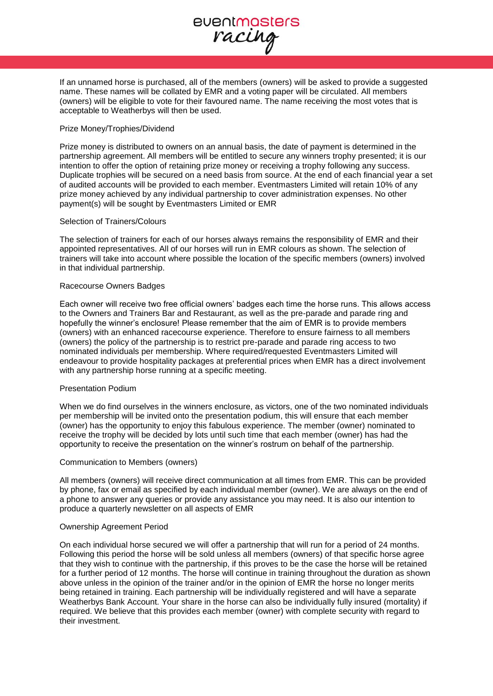

If an unnamed horse is purchased, all of the members (owners) will be asked to provide a suggested name. These names will be collated by EMR and a voting paper will be circulated. All members (owners) will be eligible to vote for their favoured name. The name receiving the most votes that is acceptable to Weatherbys will then be used.

## Prize Money/Trophies/Dividend

Prize money is distributed to owners on an annual basis, the date of payment is determined in the partnership agreement. All members will be entitled to secure any winners trophy presented; it is our intention to offer the option of retaining prize money or receiving a trophy following any success. Duplicate trophies will be secured on a need basis from source. At the end of each financial year a set of audited accounts will be provided to each member. Eventmasters Limited will retain 10% of any prize money achieved by any individual partnership to cover administration expenses. No other payment(s) will be sought by Eventmasters Limited or EMR

# Selection of Trainers/Colours

The selection of trainers for each of our horses always remains the responsibility of EMR and their appointed representatives. All of our horses will run in EMR colours as shown. The selection of trainers will take into account where possible the location of the specific members (owners) involved in that individual partnership.

## Racecourse Owners Badges

Each owner will receive two free official owners' badges each time the horse runs. This allows access to the Owners and Trainers Bar and Restaurant, as well as the pre-parade and parade ring and hopefully the winner's enclosure! Please remember that the aim of EMR is to provide members (owners) with an enhanced racecourse experience. Therefore to ensure fairness to all members (owners) the policy of the partnership is to restrict pre-parade and parade ring access to two nominated individuals per membership. Where required/requested Eventmasters Limited will endeavour to provide hospitality packages at preferential prices when EMR has a direct involvement with any partnership horse running at a specific meeting.

## Presentation Podium

When we do find ourselves in the winners enclosure, as victors, one of the two nominated individuals per membership will be invited onto the presentation podium, this will ensure that each member (owner) has the opportunity to enjoy this fabulous experience. The member (owner) nominated to receive the trophy will be decided by lots until such time that each member (owner) has had the opportunity to receive the presentation on the winner's rostrum on behalf of the partnership.

## Communication to Members (owners)

All members (owners) will receive direct communication at all times from EMR. This can be provided by phone, fax or email as specified by each individual member (owner). We are always on the end of a phone to answer any queries or provide any assistance you may need. It is also our intention to produce a quarterly newsletter on all aspects of EMR

## Ownership Agreement Period

On each individual horse secured we will offer a partnership that will run for a period of 24 months. Following this period the horse will be sold unless all members (owners) of that specific horse agree that they wish to continue with the partnership, if this proves to be the case the horse will be retained for a further period of 12 months. The horse will continue in training throughout the duration as shown above unless in the opinion of the trainer and/or in the opinion of EMR the horse no longer merits being retained in training. Each partnership will be individually registered and will have a separate Weatherbys Bank Account. Your share in the horse can also be individually fully insured (mortality) if required. We believe that this provides each member (owner) with complete security with regard to their investment.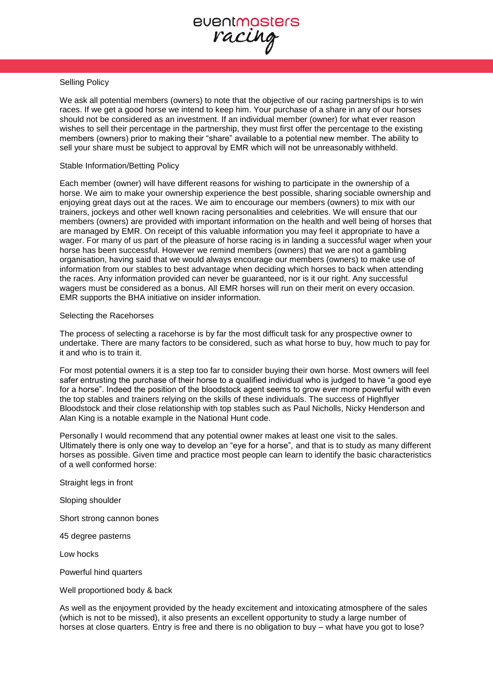eventmasters racing

# Selling Policy

We ask all potential members (owners) to note that the objective of our racing partnerships is to win races. If we get a good horse we intend to keep him. Your purchase of a share in any of our horses should not be considered as an investment. If an individual member (owner) for what ever reason wishes to sell their percentage in the partnership, they must first offer the percentage to the existing members (owners) prior to making their "share" available to a potential new member. The ability to sell your share must be subject to approval by EMR which will not be unreasonably withheld.

#### Stable Information/Betting Policy

Each member (owner) will have different reasons for wishing to participate in the ownership of a horse. We aim to make your ownership experience the best possible, sharing sociable ownership and enjoying great days out at the races. We aim to encourage our members (owners) to mix with our trainers, jockeys and other well known racing personalities and celebrities. We will ensure that our members (owners) are provided with important information on the health and well being of horses that are managed by EMR. On receipt of this valuable information you may feel it appropriate to have a wager. For many of us part of the pleasure of horse racing is in landing a successful wager when your horse has been successful. However we remind members (owners) that we are not a gambling organisation, having said that we would always encourage our members (owners) to make use of information from our stables to best advantage when deciding which horses to back when attending the races. Any information provided can never be guaranteed, nor is it our right. Any successful wagers must be considered as a bonus. All EMR horses will run on their merit on every occasion. EMR supports the BHA initiative on insider information.

#### Selecting the Racehorses

The process of selecting a racehorse is by far the most difficult task for any prospective owner to undertake. There are many factors to be considered, such as what horse to buy, how much to pay for it and who is to train it.

For most potential owners it is a step too far to consider buying their own horse. Most owners will feel safer entrusting the purchase of their horse to a qualified individual who is judged to have "a good eye for a horse". Indeed the position of the bloodstock agent seems to grow ever more powerful with even the top stables and trainers relying on the skills of these individuals. The success of Highflyer Bloodstock and their close relationship with top stables such as Paul Nicholls, Nicky Henderson and Alan King is a notable example in the National Hunt code.

Personally I would recommend that any potential owner makes at least one visit to the sales. Ultimately there is only one way to develop an "eye for a horse", and that is to study as many different horses as possible. Given time and practice most people can learn to identify the basic characteristics of a well conformed horse:

Straight legs in front

Sloping shoulder

Short strong cannon bones

45 degree pasterns

Low hocks

Powerful hind quarters

Well proportioned body & back

As well as the enjoyment provided by the heady excitement and intoxicating atmosphere of the sales (which is not to be missed), it also presents an excellent opportunity to study a large number of horses at close quarters. Entry is free and there is no obligation to buy – what have you got to lose?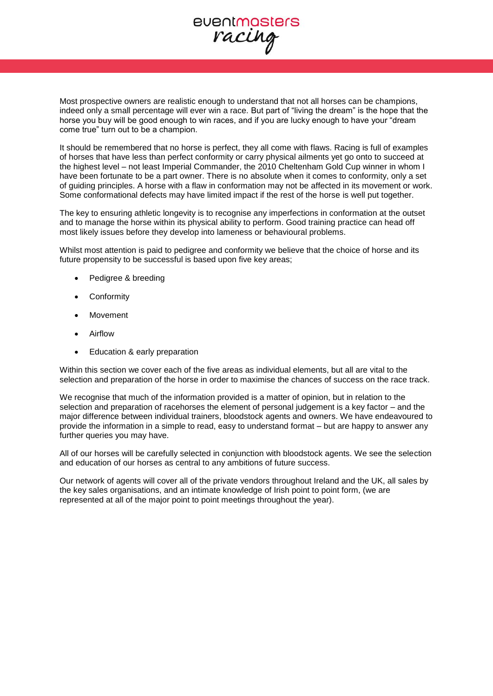Most prospective owners are realistic enough to understand that not all horses can be champions, indeed only a small percentage will ever win a race. But part of "living the dream" is the hope that the horse you buy will be good enough to win races, and if you are lucky enough to have your "dream come true" turn out to be a champion.

It should be remembered that no horse is perfect, they all come with flaws. Racing is full of examples of horses that have less than perfect conformity or carry physical ailments yet go onto to succeed at the highest level – not least Imperial Commander, the 2010 Cheltenham Gold Cup winner in whom I have been fortunate to be a part owner. There is no absolute when it comes to conformity, only a set of guiding principles. A horse with a flaw in conformation may not be affected in its movement or work. Some conformational defects may have limited impact if the rest of the horse is well put together.

The key to ensuring athletic longevity is to recognise any imperfections in conformation at the outset and to manage the horse within its physical ability to perform. Good training practice can head off most likely issues before they develop into lameness or behavioural problems.

Whilst most attention is paid to pedigree and conformity we believe that the choice of horse and its future propensity to be successful is based upon five key areas;

- Pedigree & breeding
- Conformity
- Movement
- Airflow
- Education & early preparation

Within this section we cover each of the five areas as individual elements, but all are vital to the selection and preparation of the horse in order to maximise the chances of success on the race track.

We recognise that much of the information provided is a matter of opinion, but in relation to the selection and preparation of racehorses the element of personal judgement is a key factor – and the major difference between individual trainers, bloodstock agents and owners. We have endeavoured to provide the information in a simple to read, easy to understand format – but are happy to answer any further queries you may have.

All of our horses will be carefully selected in conjunction with bloodstock agents. We see the selection and education of our horses as central to any ambitions of future success.

Our network of agents will cover all of the private vendors throughout Ireland and the UK, all sales by the key sales organisations, and an intimate knowledge of Irish point to point form, (we are represented at all of the major point to point meetings throughout the year).